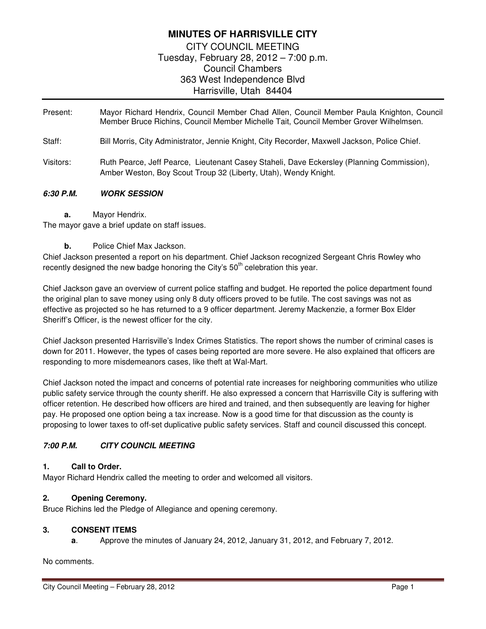# **MINUTES OF HARRISVILLE CITY**

CITY COUNCIL MEETING Tuesday, February 28, 2012 – 7:00 p.m. Council Chambers 363 West Independence Blvd Harrisville, Utah 84404

- Present: Mayor Richard Hendrix, Council Member Chad Allen, Council Member Paula Knighton, Council Member Bruce Richins, Council Member Michelle Tait, Council Member Grover Wilhelmsen.
- Staff: Bill Morris, City Administrator, Jennie Knight, City Recorder, Maxwell Jackson, Police Chief.
- Visitors: Ruth Pearce, Jeff Pearce, Lieutenant Casey Staheli, Dave Eckersley (Planning Commission), Amber Weston, Boy Scout Troup 32 (Liberty, Utah), Wendy Knight.

### **6:30 P.M. WORK SESSION**

**a.** Mayor Hendrix.

The mayor gave a brief update on staff issues.

**b.** Police Chief Max Jackson.

Chief Jackson presented a report on his department. Chief Jackson recognized Sergeant Chris Rowley who recently designed the new badge honoring the City's  $50<sup>th</sup>$  celebration this year.

Chief Jackson gave an overview of current police staffing and budget. He reported the police department found the original plan to save money using only 8 duty officers proved to be futile. The cost savings was not as effective as projected so he has returned to a 9 officer department. Jeremy Mackenzie, a former Box Elder Sheriff's Officer, is the newest officer for the city.

Chief Jackson presented Harrisville's Index Crimes Statistics. The report shows the number of criminal cases is down for 2011. However, the types of cases being reported are more severe. He also explained that officers are responding to more misdemeanors cases, like theft at Wal-Mart.

Chief Jackson noted the impact and concerns of potential rate increases for neighboring communities who utilize public safety service through the county sheriff. He also expressed a concern that Harrisville City is suffering with officer retention. He described how officers are hired and trained, and then subsequently are leaving for higher pay. He proposed one option being a tax increase. Now is a good time for that discussion as the county is proposing to lower taxes to off-set duplicative public safety services. Staff and council discussed this concept.

# **7:00 P.M. CITY COUNCIL MEETING**

### **1. Call to Order.**

Mayor Richard Hendrix called the meeting to order and welcomed all visitors.

# **2. Opening Ceremony.**

Bruce Richins led the Pledge of Allegiance and opening ceremony.

### **3. CONSENT ITEMS**

**a**. Approve the minutes of January 24, 2012, January 31, 2012, and February 7, 2012.

No comments.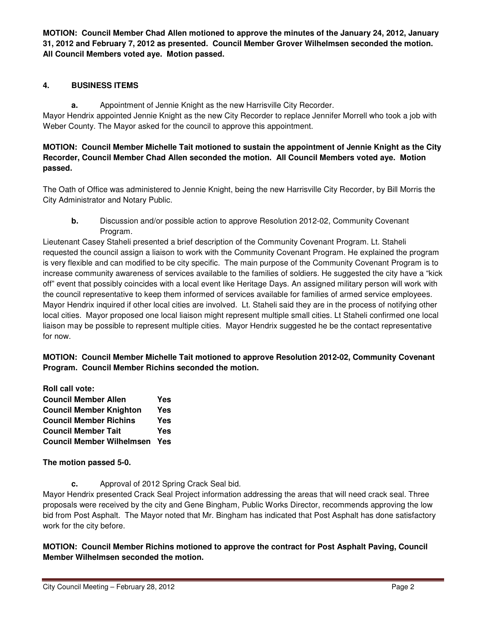**MOTION: Council Member Chad Allen motioned to approve the minutes of the January 24, 2012, January 31, 2012 and February 7, 2012 as presented. Council Member Grover Wilhelmsen seconded the motion. All Council Members voted aye. Motion passed.** 

# **4. BUSINESS ITEMS**

**a.** Appointment of Jennie Knight as the new Harrisville City Recorder.

Mayor Hendrix appointed Jennie Knight as the new City Recorder to replace Jennifer Morrell who took a job with Weber County. The Mayor asked for the council to approve this appointment.

### **MOTION: Council Member Michelle Tait motioned to sustain the appointment of Jennie Knight as the City Recorder, Council Member Chad Allen seconded the motion. All Council Members voted aye. Motion passed.**

The Oath of Office was administered to Jennie Knight, being the new Harrisville City Recorder, by Bill Morris the City Administrator and Notary Public.

**b.** Discussion and/or possible action to approve Resolution 2012-02, Community Covenant Program.

Lieutenant Casey Staheli presented a brief description of the Community Covenant Program. Lt. Staheli requested the council assign a liaison to work with the Community Covenant Program. He explained the program is very flexible and can modified to be city specific. The main purpose of the Community Covenant Program is to increase community awareness of services available to the families of soldiers. He suggested the city have a "kick off" event that possibly coincides with a local event like Heritage Days. An assigned military person will work with the council representative to keep them informed of services available for families of armed service employees. Mayor Hendrix inquired if other local cities are involved. Lt. Staheli said they are in the process of notifying other local cities. Mayor proposed one local liaison might represent multiple small cities. Lt Staheli confirmed one local liaison may be possible to represent multiple cities. Mayor Hendrix suggested he be the contact representative for now.

**MOTION: Council Member Michelle Tait motioned to approve Resolution 2012-02, Community Covenant Program. Council Member Richins seconded the motion.** 

**Roll call vote: Council Member Allen Yes Council Member Knighton Yes Council Member Richins Yes Council Member Tait Yes Council Member Wilhelmsen Yes** 

**The motion passed 5-0.** 

**c.** Approval of 2012 Spring Crack Seal bid.

Mayor Hendrix presented Crack Seal Project information addressing the areas that will need crack seal. Three proposals were received by the city and Gene Bingham, Public Works Director, recommends approving the low bid from Post Asphalt. The Mayor noted that Mr. Bingham has indicated that Post Asphalt has done satisfactory work for the city before.

**MOTION: Council Member Richins motioned to approve the contract for Post Asphalt Paving, Council Member Wilhelmsen seconded the motion.**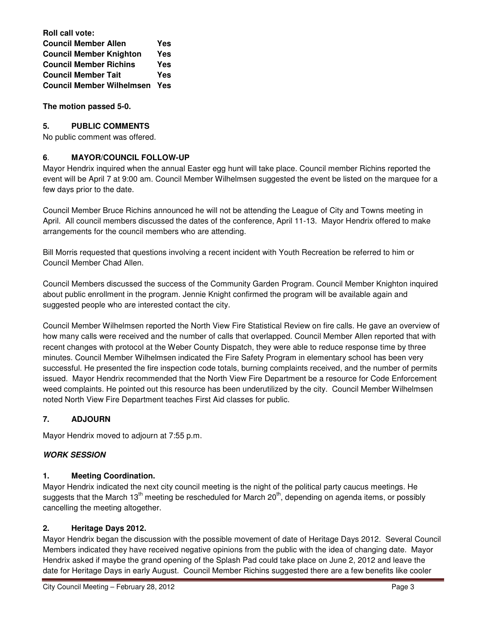**Roll call vote: Council Member Allen Yes Council Member Knighton Yes Council Member Richins Yes Council Member Tait Yes Council Member Wilhelmsen Yes** 

**The motion passed 5-0.** 

### **5. PUBLIC COMMENTS**

No public comment was offered.

### **6**. **MAYOR/COUNCIL FOLLOW-UP**

Mayor Hendrix inquired when the annual Easter egg hunt will take place. Council member Richins reported the event will be April 7 at 9:00 am. Council Member Wilhelmsen suggested the event be listed on the marquee for a few days prior to the date.

Council Member Bruce Richins announced he will not be attending the League of City and Towns meeting in April. All council members discussed the dates of the conference, April 11-13. Mayor Hendrix offered to make arrangements for the council members who are attending.

Bill Morris requested that questions involving a recent incident with Youth Recreation be referred to him or Council Member Chad Allen.

Council Members discussed the success of the Community Garden Program. Council Member Knighton inquired about public enrollment in the program. Jennie Knight confirmed the program will be available again and suggested people who are interested contact the city.

Council Member Wilhelmsen reported the North View Fire Statistical Review on fire calls. He gave an overview of how many calls were received and the number of calls that overlapped. Council Member Allen reported that with recent changes with protocol at the Weber County Dispatch, they were able to reduce response time by three minutes. Council Member Wilhelmsen indicated the Fire Safety Program in elementary school has been very successful. He presented the fire inspection code totals, burning complaints received, and the number of permits issued. Mayor Hendrix recommended that the North View Fire Department be a resource for Code Enforcement weed complaints. He pointed out this resource has been underutilized by the city. Council Member Wilhelmsen noted North View Fire Department teaches First Aid classes for public.

# **7. ADJOURN**

Mayor Hendrix moved to adjourn at 7:55 p.m.

### **WORK SESSION**

### **1. Meeting Coordination.**

Mayor Hendrix indicated the next city council meeting is the night of the political party caucus meetings. He suggests that the March 13<sup>th</sup> meeting be rescheduled for March 20<sup>th</sup>, depending on agenda items, or possibly cancelling the meeting altogether.

### **2. Heritage Days 2012.**

Mayor Hendrix began the discussion with the possible movement of date of Heritage Days 2012. Several Council Members indicated they have received negative opinions from the public with the idea of changing date. Mayor Hendrix asked if maybe the grand opening of the Splash Pad could take place on June 2, 2012 and leave the date for Heritage Days in early August. Council Member Richins suggested there are a few benefits like cooler